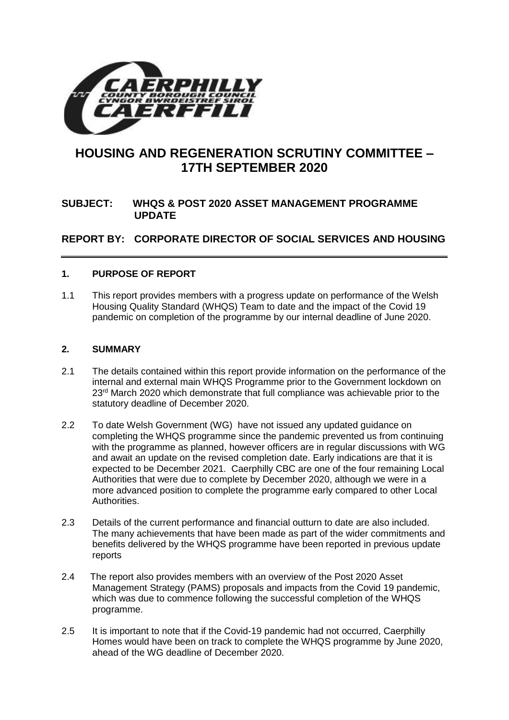

# **HOUSING AND REGENERATION SCRUTINY COMMITTEE – 17TH SEPTEMBER 2020**

# **SUBJECT: WHQS & POST 2020 ASSET MANAGEMENT PROGRAMME UPDATE**

**REPORT BY: CORPORATE DIRECTOR OF SOCIAL SERVICES AND HOUSING**

## **1. PURPOSE OF REPORT**

1.1 This report provides members with a progress update on performance of the Welsh Housing Quality Standard (WHQS) Team to date and the impact of the Covid 19 pandemic on completion of the programme by our internal deadline of June 2020.

## **2. SUMMARY**

- 2.1 The details contained within this report provide information on the performance of the internal and external main WHQS Programme prior to the Government lockdown on  $23<sup>rd</sup>$  March 2020 which demonstrate that full compliance was achievable prior to the statutory deadline of December 2020.
- 2.2 To date Welsh Government (WG) have not issued any updated guidance on completing the WHQS programme since the pandemic prevented us from continuing with the programme as planned, however officers are in regular discussions with WG and await an update on the revised completion date. Early indications are that it is expected to be December 2021. Caerphilly CBC are one of the four remaining Local Authorities that were due to complete by December 2020, although we were in a more advanced position to complete the programme early compared to other Local Authorities.
- 2.3 Details of the current performance and financial outturn to date are also included. The many achievements that have been made as part of the wider commitments and benefits delivered by the WHQS programme have been reported in previous update reports
- 2.4 The report also provides members with an overview of the Post 2020 Asset Management Strategy (PAMS) proposals and impacts from the Covid 19 pandemic, which was due to commence following the successful completion of the WHQS programme.
- 2.5 It is important to note that if the Covid-19 pandemic had not occurred, Caerphilly Homes would have been on track to complete the WHQS programme by June 2020, ahead of the WG deadline of December 2020.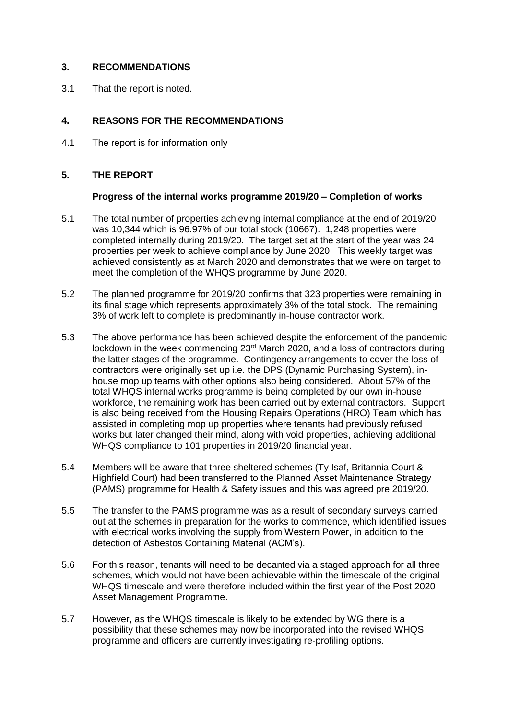## **3. RECOMMENDATIONS**

3.1 That the report is noted.

## **4. REASONS FOR THE RECOMMENDATIONS**

4.1 The report is for information only

## **5. THE REPORT**

## **Progress of the internal works programme 2019/20 – Completion of works**

- 5.1 The total number of properties achieving internal compliance at the end of 2019/20 was 10,344 which is 96.97% of our total stock (10667). 1,248 properties were completed internally during 2019/20. The target set at the start of the year was 24 properties per week to achieve compliance by June 2020. This weekly target was achieved consistently as at March 2020 and demonstrates that we were on target to meet the completion of the WHQS programme by June 2020.
- 5.2 The planned programme for 2019/20 confirms that 323 properties were remaining in its final stage which represents approximately 3% of the total stock. The remaining 3% of work left to complete is predominantly in-house contractor work.
- 5.3 The above performance has been achieved despite the enforcement of the pandemic lockdown in the week commencing 23<sup>rd</sup> March 2020, and a loss of contractors during the latter stages of the programme. Contingency arrangements to cover the loss of contractors were originally set up i.e. the DPS (Dynamic Purchasing System), inhouse mop up teams with other options also being considered. About 57% of the total WHQS internal works programme is being completed by our own in-house workforce, the remaining work has been carried out by external contractors. Support is also being received from the Housing Repairs Operations (HRO) Team which has assisted in completing mop up properties where tenants had previously refused works but later changed their mind, along with void properties, achieving additional WHQS compliance to 101 properties in 2019/20 financial year.
- 5.4 Members will be aware that three sheltered schemes (Ty Isaf, Britannia Court & Highfield Court) had been transferred to the Planned Asset Maintenance Strategy (PAMS) programme for Health & Safety issues and this was agreed pre 2019/20.
- 5.5 The transfer to the PAMS programme was as a result of secondary surveys carried out at the schemes in preparation for the works to commence, which identified issues with electrical works involving the supply from Western Power, in addition to the detection of Asbestos Containing Material (ACM's).
- 5.6 For this reason, tenants will need to be decanted via a staged approach for all three schemes, which would not have been achievable within the timescale of the original WHQS timescale and were therefore included within the first year of the Post 2020 Asset Management Programme.
- 5.7 However, as the WHQS timescale is likely to be extended by WG there is a possibility that these schemes may now be incorporated into the revised WHQS programme and officers are currently investigating re-profiling options.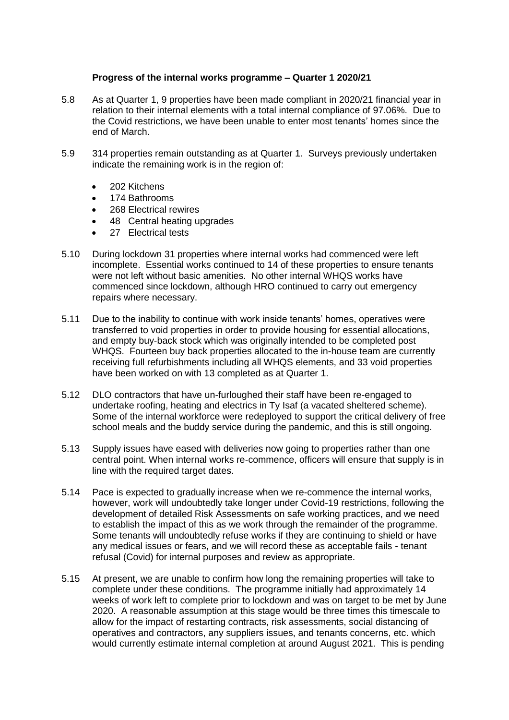#### **Progress of the internal works programme – Quarter 1 2020/21**

- 5.8 As at Quarter 1, 9 properties have been made compliant in 2020/21 financial year in relation to their internal elements with a total internal compliance of 97.06%. Due to the Covid restrictions, we have been unable to enter most tenants' homes since the end of March.
- 5.9 314 properties remain outstanding as at Quarter 1. Surveys previously undertaken indicate the remaining work is in the region of:
	- 202 Kitchens
	- 174 Bathrooms
	- 268 Electrical rewires
	- 48 Central heating upgrades
	- 27 Electrical tests
- 5.10 During lockdown 31 properties where internal works had commenced were left incomplete. Essential works continued to 14 of these properties to ensure tenants were not left without basic amenities. No other internal WHQS works have commenced since lockdown, although HRO continued to carry out emergency repairs where necessary.
- 5.11 Due to the inability to continue with work inside tenants' homes, operatives were transferred to void properties in order to provide housing for essential allocations, and empty buy-back stock which was originally intended to be completed post WHQS. Fourteen buy back properties allocated to the in-house team are currently receiving full refurbishments including all WHQS elements, and 33 void properties have been worked on with 13 completed as at Quarter 1.
- 5.12 DLO contractors that have un-furloughed their staff have been re-engaged to undertake roofing, heating and electrics in Ty Isaf (a vacated sheltered scheme). Some of the internal workforce were redeployed to support the critical delivery of free school meals and the buddy service during the pandemic, and this is still ongoing.
- 5.13 Supply issues have eased with deliveries now going to properties rather than one central point. When internal works re-commence, officers will ensure that supply is in line with the required target dates.
- 5.14 Pace is expected to gradually increase when we re-commence the internal works, however, work will undoubtedly take longer under Covid-19 restrictions, following the development of detailed Risk Assessments on safe working practices, and we need to establish the impact of this as we work through the remainder of the programme. Some tenants will undoubtedly refuse works if they are continuing to shield or have any medical issues or fears, and we will record these as acceptable fails - tenant refusal (Covid) for internal purposes and review as appropriate.
- 5.15 At present, we are unable to confirm how long the remaining properties will take to complete under these conditions. The programme initially had approximately 14 weeks of work left to complete prior to lockdown and was on target to be met by June 2020. A reasonable assumption at this stage would be three times this timescale to allow for the impact of restarting contracts, risk assessments, social distancing of operatives and contractors, any suppliers issues, and tenants concerns, etc. which would currently estimate internal completion at around August 2021. This is pending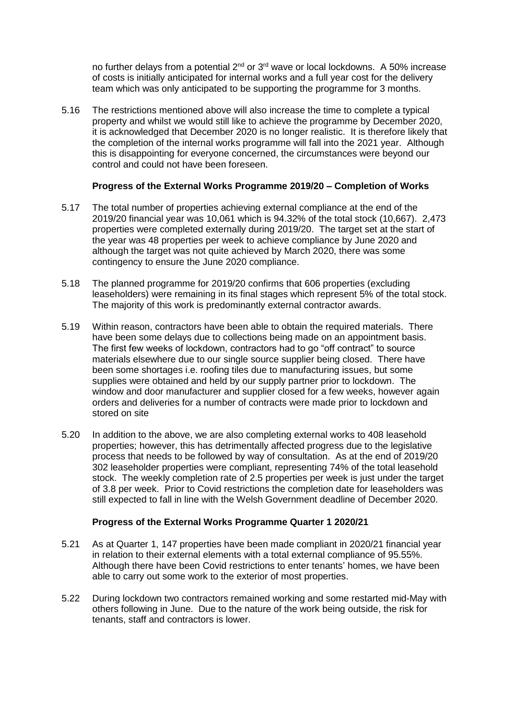no further delays from a potential 2<sup>nd</sup> or 3<sup>rd</sup> wave or local lockdowns. A 50% increase of costs is initially anticipated for internal works and a full year cost for the delivery team which was only anticipated to be supporting the programme for 3 months.

5.16 The restrictions mentioned above will also increase the time to complete a typical property and whilst we would still like to achieve the programme by December 2020, it is acknowledged that December 2020 is no longer realistic. It is therefore likely that the completion of the internal works programme will fall into the 2021 year. Although this is disappointing for everyone concerned, the circumstances were beyond our control and could not have been foreseen.

## **Progress of the External Works Programme 2019/20 – Completion of Works**

- 5.17 The total number of properties achieving external compliance at the end of the 2019/20 financial year was 10,061 which is 94.32% of the total stock (10,667). 2,473 properties were completed externally during 2019/20. The target set at the start of the year was 48 properties per week to achieve compliance by June 2020 and although the target was not quite achieved by March 2020, there was some contingency to ensure the June 2020 compliance.
- 5.18 The planned programme for 2019/20 confirms that 606 properties (excluding leaseholders) were remaining in its final stages which represent 5% of the total stock. The majority of this work is predominantly external contractor awards.
- 5.19 Within reason, contractors have been able to obtain the required materials. There have been some delays due to collections being made on an appointment basis. The first few weeks of lockdown, contractors had to go "off contract" to source materials elsewhere due to our single source supplier being closed. There have been some shortages i.e. roofing tiles due to manufacturing issues, but some supplies were obtained and held by our supply partner prior to lockdown. The window and door manufacturer and supplier closed for a few weeks, however again orders and deliveries for a number of contracts were made prior to lockdown and stored on site
- 5.20 In addition to the above, we are also completing external works to 408 leasehold properties; however, this has detrimentally affected progress due to the legislative process that needs to be followed by way of consultation. As at the end of 2019/20 302 leaseholder properties were compliant, representing 74% of the total leasehold stock. The weekly completion rate of 2.5 properties per week is just under the target of 3.8 per week. Prior to Covid restrictions the completion date for leaseholders was still expected to fall in line with the Welsh Government deadline of December 2020.

## **Progress of the External Works Programme Quarter 1 2020/21**

- 5.21 As at Quarter 1, 147 properties have been made compliant in 2020/21 financial year in relation to their external elements with a total external compliance of 95.55%. Although there have been Covid restrictions to enter tenants' homes, we have been able to carry out some work to the exterior of most properties.
- 5.22 During lockdown two contractors remained working and some restarted mid-May with others following in June. Due to the nature of the work being outside, the risk for tenants, staff and contractors is lower.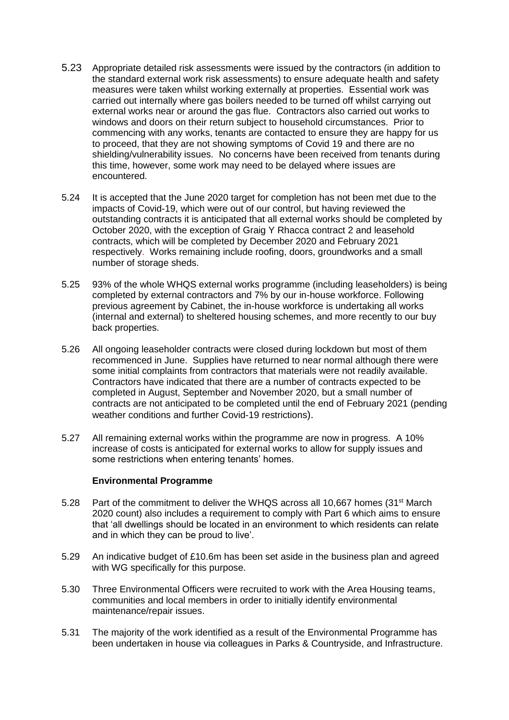- 5.23 Appropriate detailed risk assessments were issued by the contractors (in addition to the standard external work risk assessments) to ensure adequate health and safety measures were taken whilst working externally at properties. Essential work was carried out internally where gas boilers needed to be turned off whilst carrying out external works near or around the gas flue. Contractors also carried out works to windows and doors on their return subject to household circumstances. Prior to commencing with any works, tenants are contacted to ensure they are happy for us to proceed, that they are not showing symptoms of Covid 19 and there are no shielding/vulnerability issues. No concerns have been received from tenants during this time, however, some work may need to be delayed where issues are encountered.
- 5.24 It is accepted that the June 2020 target for completion has not been met due to the impacts of Covid-19, which were out of our control, but having reviewed the outstanding contracts it is anticipated that all external works should be completed by October 2020, with the exception of Graig Y Rhacca contract 2 and leasehold contracts, which will be completed by December 2020 and February 2021 respectively. Works remaining include roofing, doors, groundworks and a small number of storage sheds.
- 5.25 93% of the whole WHQS external works programme (including leaseholders) is being completed by external contractors and 7% by our in-house workforce. Following previous agreement by Cabinet, the in-house workforce is undertaking all works (internal and external) to sheltered housing schemes, and more recently to our buy back properties.
- 5.26 All ongoing leaseholder contracts were closed during lockdown but most of them recommenced in June. Supplies have returned to near normal although there were some initial complaints from contractors that materials were not readily available. Contractors have indicated that there are a number of contracts expected to be completed in August, September and November 2020, but a small number of contracts are not anticipated to be completed until the end of February 2021 (pending weather conditions and further Covid-19 restrictions).
- 5.27 All remaining external works within the programme are now in progress. A 10% increase of costs is anticipated for external works to allow for supply issues and some restrictions when entering tenants' homes.

#### **Environmental Programme**

- 5.28 Part of the commitment to deliver the WHQS across all 10,667 homes (31<sup>st</sup> March 2020 count) also includes a requirement to comply with Part 6 which aims to ensure that 'all dwellings should be located in an environment to which residents can relate and in which they can be proud to live'.
- 5.29 An indicative budget of £10.6m has been set aside in the business plan and agreed with WG specifically for this purpose.
- 5.30 Three Environmental Officers were recruited to work with the Area Housing teams, communities and local members in order to initially identify environmental maintenance/repair issues.
- 5.31 The majority of the work identified as a result of the Environmental Programme has been undertaken in house via colleagues in Parks & Countryside, and Infrastructure.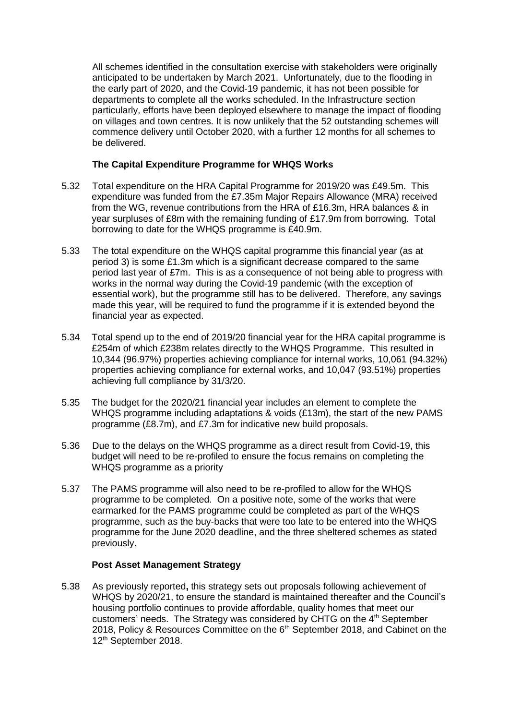All schemes identified in the consultation exercise with stakeholders were originally anticipated to be undertaken by March 2021. Unfortunately, due to the flooding in the early part of 2020, and the Covid-19 pandemic, it has not been possible for departments to complete all the works scheduled. In the Infrastructure section particularly, efforts have been deployed elsewhere to manage the impact of flooding on villages and town centres. It is now unlikely that the 52 outstanding schemes will commence delivery until October 2020, with a further 12 months for all schemes to be delivered.

## **The Capital Expenditure Programme for WHQS Works**

- 5.32 Total expenditure on the HRA Capital Programme for 2019/20 was £49.5m. This expenditure was funded from the £7.35m Major Repairs Allowance (MRA) received from the WG, revenue contributions from the HRA of £16.3m, HRA balances & in year surpluses of £8m with the remaining funding of £17.9m from borrowing. Total borrowing to date for the WHQS programme is £40.9m.
- 5.33 The total expenditure on the WHQS capital programme this financial year (as at period 3) is some £1.3m which is a significant decrease compared to the same period last year of £7m. This is as a consequence of not being able to progress with works in the normal way during the Covid-19 pandemic (with the exception of essential work), but the programme still has to be delivered. Therefore, any savings made this year, will be required to fund the programme if it is extended beyond the financial year as expected.
- 5.34 Total spend up to the end of 2019/20 financial year for the HRA capital programme is £254m of which £238m relates directly to the WHQS Programme. This resulted in 10,344 (96.97%) properties achieving compliance for internal works, 10,061 (94.32%) properties achieving compliance for external works, and 10,047 (93.51%) properties achieving full compliance by 31/3/20.
- 5.35 The budget for the 2020/21 financial year includes an element to complete the WHQS programme including adaptations & voids (£13m), the start of the new PAMS programme (£8.7m), and £7.3m for indicative new build proposals.
- 5.36 Due to the delays on the WHQS programme as a direct result from Covid-19, this budget will need to be re-profiled to ensure the focus remains on completing the WHQS programme as a priority
- 5.37 The PAMS programme will also need to be re-profiled to allow for the WHQS programme to be completed. On a positive note, some of the works that were earmarked for the PAMS programme could be completed as part of the WHQS programme, such as the buy-backs that were too late to be entered into the WHQS programme for the June 2020 deadline, and the three sheltered schemes as stated previously.

## **Post Asset Management Strategy**

5.38 As previously reported**,** this strategy sets out proposals following achievement of WHQS by 2020/21, to ensure the standard is maintained thereafter and the Council's housing portfolio continues to provide affordable, quality homes that meet our customers' needs. The Strategy was considered by CHTG on the  $4<sup>th</sup>$  September 2018, Policy & Resources Committee on the 6<sup>th</sup> September 2018, and Cabinet on the 12th September 2018.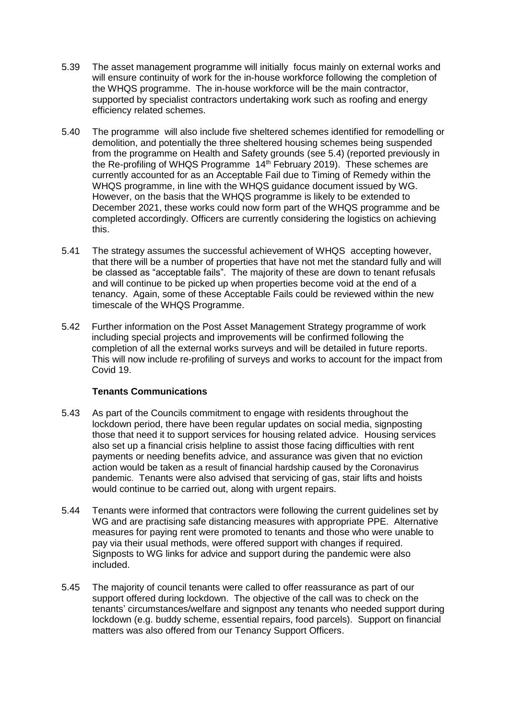- 5.39 The asset management programme will initially focus mainly on external works and will ensure continuity of work for the in-house workforce following the completion of the WHQS programme. The in-house workforce will be the main contractor, supported by specialist contractors undertaking work such as roofing and energy efficiency related schemes.
- 5.40 The programme will also include five sheltered schemes identified for remodelling or demolition, and potentially the three sheltered housing schemes being suspended from the programme on Health and Safety grounds (see 5.4) (reported previously in the Re-profiling of WHQS Programme 14th February 2019). These schemes are currently accounted for as an Acceptable Fail due to Timing of Remedy within the WHQS programme, in line with the WHQS guidance document issued by WG. However, on the basis that the WHQS programme is likely to be extended to December 2021, these works could now form part of the WHQS programme and be completed accordingly. Officers are currently considering the logistics on achieving this.
- 5.41 The strategy assumes the successful achievement of WHQS accepting however, that there will be a number of properties that have not met the standard fully and will be classed as "acceptable fails". The majority of these are down to tenant refusals and will continue to be picked up when properties become void at the end of a tenancy. Again, some of these Acceptable Fails could be reviewed within the new timescale of the WHQS Programme.
- 5.42 Further information on the Post Asset Management Strategy programme of work including special projects and improvements will be confirmed following the completion of all the external works surveys and will be detailed in future reports. This will now include re-profiling of surveys and works to account for the impact from Covid 19.

## **Tenants Communications**

- 5.43 As part of the Councils commitment to engage with residents throughout the lockdown period, there have been regular updates on social media, signposting those that need it to support services for housing related advice. Housing services also set up a financial crisis helpline to assist those facing difficulties with rent payments or needing benefits advice, and assurance was given that no eviction action would be taken as a result of financial hardship caused by the Coronavirus pandemic. Tenants were also advised that servicing of gas, stair lifts and hoists would continue to be carried out, along with urgent repairs.
- 5.44 Tenants were informed that contractors were following the current guidelines set by WG and are practising safe distancing measures with appropriate PPE. Alternative measures for paying rent were promoted to tenants and those who were unable to pay via their usual methods, were offered support with changes if required. Signposts to WG links for advice and support during the pandemic were also included.
- 5.45 The majority of council tenants were called to offer reassurance as part of our support offered during lockdown. The objective of the call was to check on the tenants' circumstances/welfare and signpost any tenants who needed support during lockdown (e.g. buddy scheme, essential repairs, food parcels). Support on financial matters was also offered from our Tenancy Support Officers.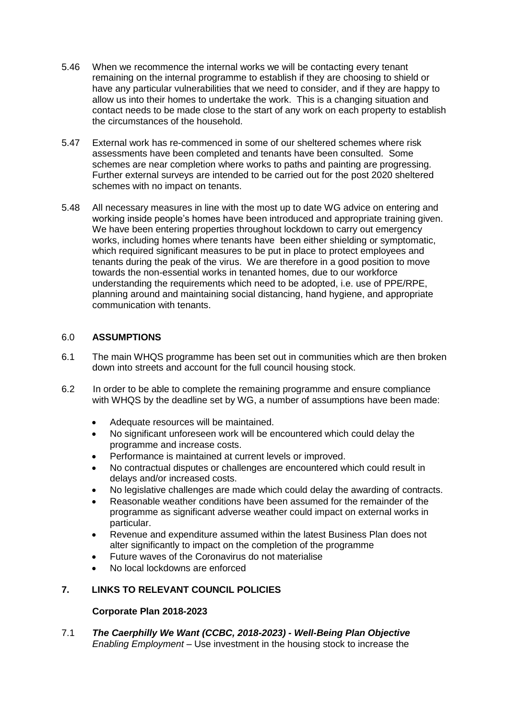- 5.46 When we recommence the internal works we will be contacting every tenant remaining on the internal programme to establish if they are choosing to shield or have any particular vulnerabilities that we need to consider, and if they are happy to allow us into their homes to undertake the work. This is a changing situation and contact needs to be made close to the start of any work on each property to establish the circumstances of the household.
- 5.47 External work has re-commenced in some of our sheltered schemes where risk assessments have been completed and tenants have been consulted. Some schemes are near completion where works to paths and painting are progressing. Further external surveys are intended to be carried out for the post 2020 sheltered schemes with no impact on tenants.
- 5.48 All necessary measures in line with the most up to date WG advice on entering and working inside people's homes have been introduced and appropriate training given. We have been entering properties throughout lockdown to carry out emergency works, including homes where tenants have been either shielding or symptomatic, which required significant measures to be put in place to protect employees and tenants during the peak of the virus. We are therefore in a good position to move towards the non-essential works in tenanted homes, due to our workforce understanding the requirements which need to be adopted, i.e. use of PPE/RPE, planning around and maintaining social distancing, hand hygiene, and appropriate communication with tenants.

## 6.0 **ASSUMPTIONS**

- 6.1 The main WHQS programme has been set out in communities which are then broken down into streets and account for the full council housing stock.
- 6.2 In order to be able to complete the remaining programme and ensure compliance with WHQS by the deadline set by WG, a number of assumptions have been made:
	- Adequate resources will be maintained.
	- No significant unforeseen work will be encountered which could delay the programme and increase costs.
	- Performance is maintained at current levels or improved.
	- No contractual disputes or challenges are encountered which could result in delays and/or increased costs.
	- No legislative challenges are made which could delay the awarding of contracts.
	- Reasonable weather conditions have been assumed for the remainder of the programme as significant adverse weather could impact on external works in particular.
	- Revenue and expenditure assumed within the latest Business Plan does not alter significantly to impact on the completion of the programme
	- Future waves of the Coronavirus do not materialise
	- No local lockdowns are enforced

# **7. LINKS TO RELEVANT COUNCIL POLICIES**

## **Corporate Plan 2018-2023**

7.1 *The Caerphilly We Want (CCBC, 2018-2023) - Well-Being Plan Objective Enabling Employment –* Use investment in the housing stock to increase the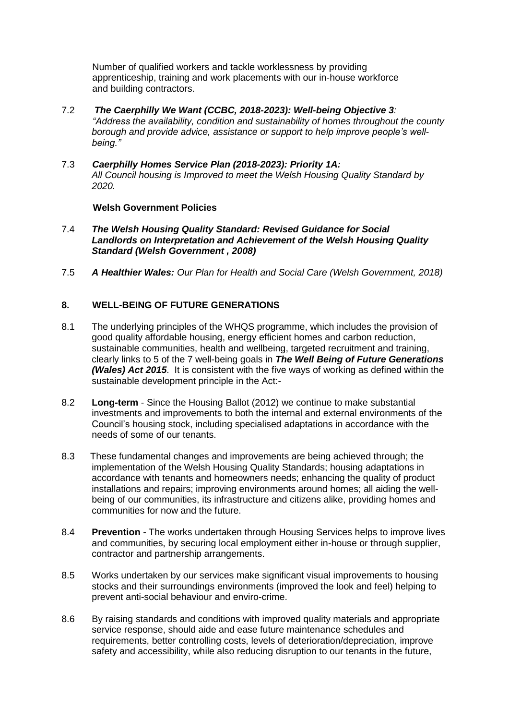Number of qualified workers and tackle worklessness by providing apprenticeship, training and work placements with our in-house workforce and building contractors.

- 7.2 *The Caerphilly We Want (CCBC, 2018-2023): Well-being Objective 3: "Address the availability, condition and sustainability of homes throughout the county borough and provide advice, assistance or support to help improve people's wellbeing."*
- 7.3 *Caerphilly Homes Service Plan (2018-2023): Priority 1A: All Council housing is Improved to meet the Welsh Housing Quality Standard by 2020.*

#### **Welsh Government Policies**

- 7.4 *The Welsh Housing Quality Standard: Revised Guidance for Social Landlords on Interpretation and Achievement of the Welsh Housing Quality Standard (Welsh Government , 2008)*
- 7.5 *A Healthier Wales: Our Plan for Health and Social Care (Welsh Government, 2018)*

## **8. WELL-BEING OF FUTURE GENERATIONS**

- 8.1 The underlying principles of the WHQS programme, which includes the provision of good quality affordable housing, energy efficient homes and carbon reduction, sustainable communities, health and wellbeing, targeted recruitment and training, clearly links to 5 of the 7 well-being goals in *The Well Being of Future Generations (Wales) Act 2015*. It is consistent with the five ways of working as defined within the sustainable development principle in the Act:-
- 8.2 **Long-term** Since the Housing Ballot (2012) we continue to make substantial investments and improvements to both the internal and external environments of the Council's housing stock, including specialised adaptations in accordance with the needs of some of our tenants.
- 8.3 These fundamental changes and improvements are being achieved through; the implementation of the Welsh Housing Quality Standards; housing adaptations in accordance with tenants and homeowners needs; enhancing the quality of product installations and repairs; improving environments around homes; all aiding the wellbeing of our communities, its infrastructure and citizens alike, providing homes and communities for now and the future.
- 8.4 **Prevention** The works undertaken through Housing Services helps to improve lives and communities, by securing local employment either in-house or through supplier, contractor and partnership arrangements.
- 8.5 Works undertaken by our services make significant visual improvements to housing stocks and their surroundings environments (improved the look and feel) helping to prevent anti-social behaviour and enviro-crime.
- 8.6 By raising standards and conditions with improved quality materials and appropriate service response, should aide and ease future maintenance schedules and requirements, better controlling costs, levels of deterioration/depreciation, improve safety and accessibility, while also reducing disruption to our tenants in the future,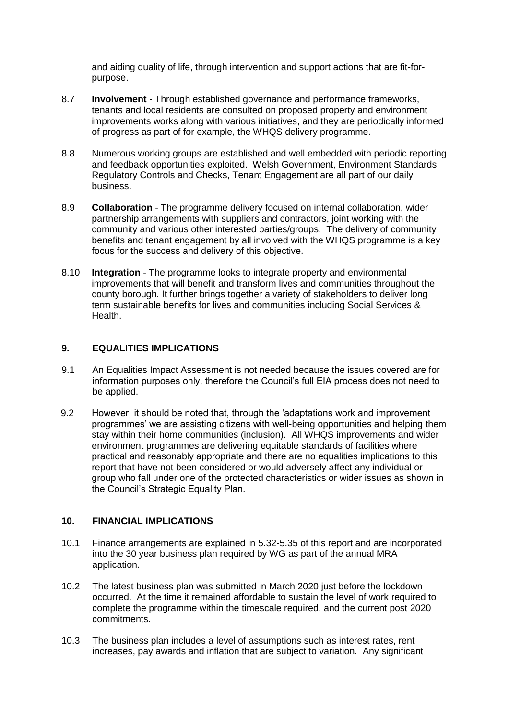and aiding quality of life, through intervention and support actions that are fit-forpurpose.

- 8.7 **Involvement** Through established governance and performance frameworks, tenants and local residents are consulted on proposed property and environment improvements works along with various initiatives, and they are periodically informed of progress as part of for example, the WHQS delivery programme.
- 8.8 Numerous working groups are established and well embedded with periodic reporting and feedback opportunities exploited. Welsh Government, Environment Standards, Regulatory Controls and Checks, Tenant Engagement are all part of our daily business.
- 8.9 **Collaboration** The programme delivery focused on internal collaboration, wider partnership arrangements with suppliers and contractors, joint working with the community and various other interested parties/groups. The delivery of community benefits and tenant engagement by all involved with the WHQS programme is a key focus for the success and delivery of this objective.
- 8.10 **Integration** The programme looks to integrate property and environmental improvements that will benefit and transform lives and communities throughout the county borough. It further brings together a variety of stakeholders to deliver long term sustainable benefits for lives and communities including Social Services & Health.

## **9. EQUALITIES IMPLICATIONS**

- 9.1 An Equalities Impact Assessment is not needed because the issues covered are for information purposes only, therefore the Council's full EIA process does not need to be applied.
- 9.2 However, it should be noted that, through the 'adaptations work and improvement programmes' we are assisting citizens with well-being opportunities and helping them stay within their home communities (inclusion). All WHQS improvements and wider environment programmes are delivering equitable standards of facilities where practical and reasonably appropriate and there are no equalities implications to this report that have not been considered or would adversely affect any individual or group who fall under one of the protected characteristics or wider issues as shown in the Council's Strategic Equality Plan.

## **10. FINANCIAL IMPLICATIONS**

- 10.1 Finance arrangements are explained in 5.32-5.35 of this report and are incorporated into the 30 year business plan required by WG as part of the annual MRA application.
- 10.2 The latest business plan was submitted in March 2020 just before the lockdown occurred. At the time it remained affordable to sustain the level of work required to complete the programme within the timescale required, and the current post 2020 commitments.
- 10.3 The business plan includes a level of assumptions such as interest rates, rent increases, pay awards and inflation that are subject to variation. Any significant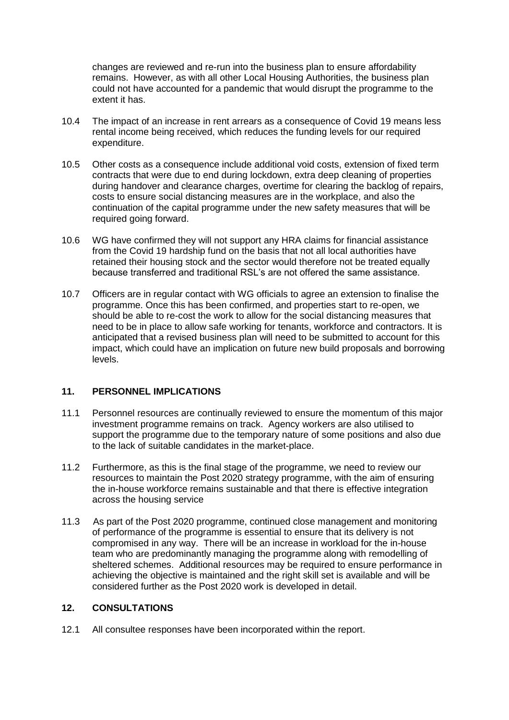changes are reviewed and re-run into the business plan to ensure affordability remains. However, as with all other Local Housing Authorities, the business plan could not have accounted for a pandemic that would disrupt the programme to the extent it has.

- 10.4 The impact of an increase in rent arrears as a consequence of Covid 19 means less rental income being received, which reduces the funding levels for our required expenditure.
- 10.5 Other costs as a consequence include additional void costs, extension of fixed term contracts that were due to end during lockdown, extra deep cleaning of properties during handover and clearance charges, overtime for clearing the backlog of repairs, costs to ensure social distancing measures are in the workplace, and also the continuation of the capital programme under the new safety measures that will be required going forward.
- 10.6 WG have confirmed they will not support any HRA claims for financial assistance from the Covid 19 hardship fund on the basis that not all local authorities have retained their housing stock and the sector would therefore not be treated equally because transferred and traditional RSL's are not offered the same assistance.
- 10.7 Officers are in regular contact with WG officials to agree an extension to finalise the programme. Once this has been confirmed, and properties start to re-open, we should be able to re-cost the work to allow for the social distancing measures that need to be in place to allow safe working for tenants, workforce and contractors. It is anticipated that a revised business plan will need to be submitted to account for this impact, which could have an implication on future new build proposals and borrowing levels.

## **11. PERSONNEL IMPLICATIONS**

- 11.1 Personnel resources are continually reviewed to ensure the momentum of this major investment programme remains on track. Agency workers are also utilised to support the programme due to the temporary nature of some positions and also due to the lack of suitable candidates in the market-place.
- 11.2 Furthermore, as this is the final stage of the programme, we need to review our resources to maintain the Post 2020 strategy programme, with the aim of ensuring the in-house workforce remains sustainable and that there is effective integration across the housing service
- 11.3 As part of the Post 2020 programme, continued close management and monitoring of performance of the programme is essential to ensure that its delivery is not compromised in any way. There will be an increase in workload for the in-house team who are predominantly managing the programme along with remodelling of sheltered schemes. Additional resources may be required to ensure performance in achieving the objective is maintained and the right skill set is available and will be considered further as the Post 2020 work is developed in detail.

## **12. CONSULTATIONS**

12.1 All consultee responses have been incorporated within the report.